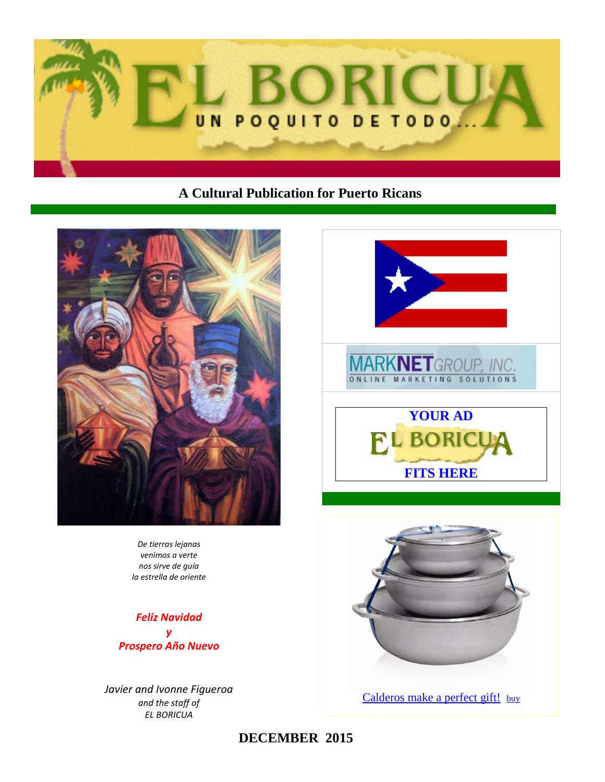

# **A Cultural Publication for Puerto Ricans**



*De tierras lejanas venimos a verte nos sirve de guía la estrella de oriente*

*Felíz Navidad y Prospero Año Nuevo*

*Javier and Ivonne Figueroa and the staff of EL BORICUA*





[Calderos make a perfect gift!](http://www.elboricua.com/Calderos.html) [buy](http://www.elboricua.com/Calderos.html)

**DECEMBER 2015**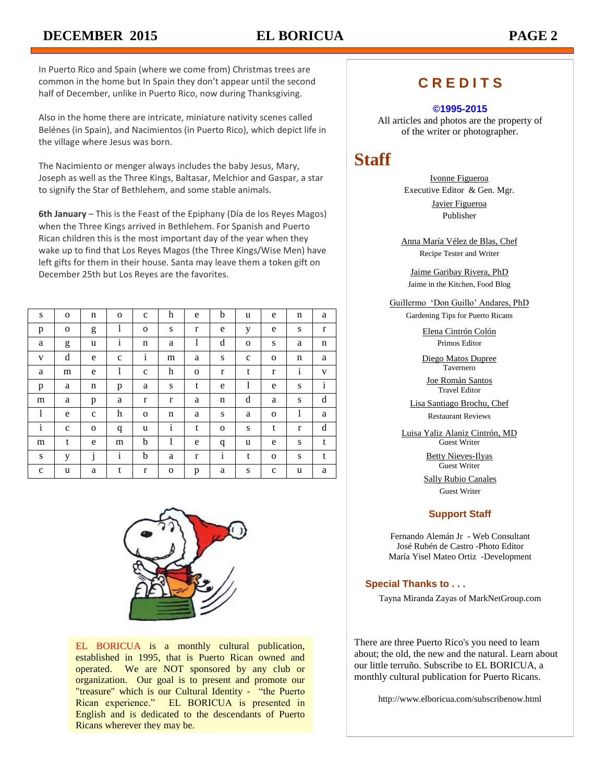In Puerto Rico and Spain (where we come from) Christmas trees are common in the home but In Spain they don't appear until the second half of December, unlike in Puerto Rico, now during Thanksgiving.

Also in the home there are intricate, miniature nativity scenes called Belénes (in Spain), and Nacimientos (in Puerto Rico), which depict life in the village where Jesus was born.

The Nacimiento or menger always includes the baby Jesus, Mary, Joseph as well as the Three Kings, Baltasar, Melchior and Gaspar, a star to signify the Star of Bethlehem, and some stable animals.

**6th January** – This is the Feast of the Epiphany (Día de los Reyes Magos) when the Three Kings arrived in Bethlehem. For Spanish and Puerto Rican children this is the most important day of the year when they wake up to find that Los Reyes Magos (the Three Kings/Wise Men) have left gifts for them in their house. Santa may leave them a token gift on December 25th but Los Reyes are the favorites.

| S            | $\mathbf 0$ | n            | $\mathbf{o}$     | $\mathbf c$  | h            | e            | b            | u            | e            | n            | a            |
|--------------|-------------|--------------|------------------|--------------|--------------|--------------|--------------|--------------|--------------|--------------|--------------|
| p            | $\mathbf 0$ | g            | 1                | $\mathbf 0$  | S            | r            | e            | у            | e            | S            | r            |
| a            | g           | u            | ٠<br>$\mathbf i$ | n            | a            | 1            | d            | $\mathbf{o}$ | S            | a            | n            |
| V            | d           | e            | $\mathbf{C}$     | $\mathbf{i}$ | m            | a            | ${\bf S}$    | $\mathbf{C}$ | $\mathbf{o}$ | n            | a            |
| a            | m           | e            | 1                | $\mathbf c$  | h            | $\mathbf{O}$ | $\mathbf r$  | t            | $\mathbf r$  | $\mathbf{i}$ | V            |
| p            | a           | n            | p                | a            | S            | t            | e            | 1            | e            | S            | $\mathbf{i}$ |
| m            | a           | p            | a                | $\mathbf r$  | $\mathbf{r}$ | a            | n            | d            | a            | S            | d            |
| 1            | e           | $\mathbf c$  | h                | $\mathbf 0$  | n            | a            | ${\bf S}$    | a            | $\mathbf{o}$ | 1            | a            |
| $\mathbf{i}$ | $\mathbf c$ | $\mathbf{o}$ | q                | u            | $\mathbf{i}$ | t            | $\mathbf{o}$ | ${\bf S}$    | t            | $\mathbf r$  | d            |
| m            | t           | e            | m                | b            | 1            | e            | q            | u            | e            | S            | t            |
| ${\bf S}$    | у           | ٠<br>Ĵ       | $\rm i$          | b            | a            | r            | $\mathbf{i}$ | t            | $\mathbf{o}$ | S            | t            |
| $\mathbf c$  | u           | a            | t                | r            | O            | p            | a            | S            | $\mathbf c$  | u            | a            |



EL BORICUA is a monthly cultural publication, established in 1995, that is Puerto Rican owned and operated. We are NOT sponsored by any club or organization. Our goal is to present and promote our "treasure" which is our Cultural Identity - "the Puerto Rican experience." EL BORICUA is presented in English and is dedicated to the descendants of Puerto Ricans wherever they may be.

# **C R E D I T S**

#### **©1995-2015**

All articles and photos are the property of of the writer or photographer.

# **Staff**

Ivonne Figueroa Executive Editor & Gen. Mgr. Javier Figueroa

Publisher

Anna María Vélez de Blas, Chef Recipe Tester and Writer

Jaime Garibay Rivera, PhD Jaime in the Kitchen, Food Blog

Guillermo 'Don Guillo' Andares, PhD

Gardening Tips for Puerto Ricans

Elena Cintrón Colón Primos Editor

Diego Matos Dupree Tavernero

Joe Román Santos Travel Editor

Lisa Santiago Brochu, Chef Restaurant Reviews

Luisa Yaliz Alaniz Cintrón, MD Guest Writer

> Betty Nieves-Ilyas Guest Writer

Sally Rubio Canales Guest Writer

## **Support Staff**

Fernando Alemán Jr - Web Consultant José Rubén de Castro -Photo Editor María Yisel Mateo Ortiz -Development

#### **Special Thanks to . . .**

Tayna Miranda Zayas of MarkNetGroup.com

There are three Puerto Rico's you need to learn about; the old, the new and the natural. Learn about our little terruño. Subscribe to EL BORICUA, a monthly cultural publication for Puerto Ricans.

http://www.elboricua.com/subscribenow.html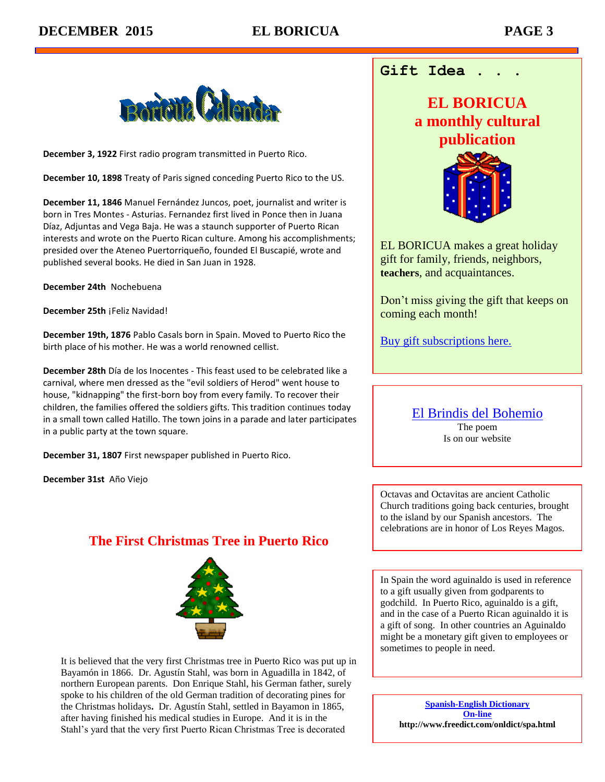

**December 3, 1922** First radio program transmitted in Puerto Rico.

**December 10, 1898** Treaty of Paris signed conceding Puerto Rico to the US.

**December 11, 1846** Manuel Fernández Juncos, poet, journalist and writer is born in Tres Montes - Asturias. Fernandez first lived in Ponce then in Juana Díaz, Adjuntas and Vega Baja. He was a staunch supporter of Puerto Rican interests and wrote on the Puerto Rican culture. Among his accomplishments; presided over the Ateneo Puertorriqueño, founded El Buscapié, wrote and published several books. He died in San Juan in 1928.

**December 24th** Nochebuena

**December 25th** ¡Feliz Navidad!

**December 19th, 1876** Pablo Casals born in Spain. Moved to Puerto Rico the birth place of his mother. He was a world renowned cellist.

**December 28th** Día de los Inocentes - This feast used to be celebrated like a carnival, where men dressed as the "evil soldiers of Herod" went house to house, "kidnapping" the first-born boy from every family. To recover their children, the families offered the soldiers gifts. This tradition continues today in a small town called Hatillo. The town joins in a parade and later participates in a public party at the town square.

**December 31, 1807** First newspaper published in Puerto Rico.

**December 31st** Año Viejo

# **The First Christmas Tree in Puerto Rico**



It is believed that the very first Christmas tree in Puerto Rico was put up in Bayamón in 1866. Dr. Agustín Stahl, was born in Aguadilla in 1842, of northern European parents. Don Enrique Stahl, his German father, surely spoke to his children of the old German tradition of decorating pines for the Christmas holidays**.** Dr. Agustín Stahl, settled in Bayamon in 1865, after having finished his medical studies in Europe. And it is in the Stahl's yard that the very first Puerto Rican Christmas Tree is decorated

# **Gift Idea . . .**

# **EL BORICUA a monthly cultural publication**



EL BORICUA makes a great holiday gift for family, friends, neighbors, **teachers**, and acquaintances.

Don't miss giving the gift that keeps on coming each month!

[Buy gift subscriptions here.](http://www.elboricua.com/SubscribeNow.html)

[El Brindis del Bohemio](http://www.elboricua.com/elbrindis.html) The poem Is on our website

Octavas and Octavitas are ancient Catholic Church traditions going back centuries, brought to the island by our Spanish ancestors. The celebrations are in honor of Los Reyes Magos.

In Spain the word aguinaldo is used in reference to a gift usually given from godparents to godchild. In Puerto Rico, aguinaldo is a gift, and in the case of a Puerto Rican aguinaldo it is a gift of song. In other countries an Aguinaldo might be a monetary gift given to employees or sometimes to people in need.

**[Spanish-English Dictionary](http://www.freedict.com/onldict/spa.html)  [On-line](http://www.freedict.com/onldict/spa.html) http://www.freedict.com/onldict/spa.html**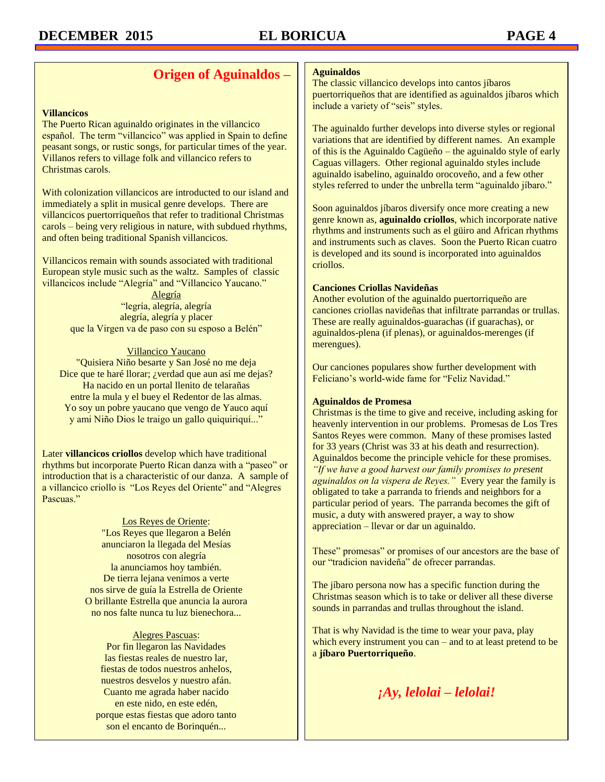# **Origen of Aguinaldos –**

#### **Villancicos**

The Puerto Rican aguinaldo originates in the villancico español. The term "villancico" was applied in Spain to define peasant songs, or rustic songs, for particular times of the year. Villanos refers to village folk and villancico refers to Christmas carols.

With colonization villancicos are introducted to our island and immediately a split in musical genre develops. There are villancicos puertorriqueños that refer to traditional Christmas carols – being very religious in nature, with subdued rhythms, and often being traditional Spanish villancicos.

Villancicos remain with sounds associated with traditional European style music such as the waltz. Samples of classic villancicos include "Alegría" and "Villancico Yaucano."

> Alegría "legría, alegría, alegría alegría, alegría y placer que la Virgen va de paso con su esposo a Belén"

#### Villancico Yaucano

"Quisiera Niño besarte y San José no me deja Dice que te haré llorar; ¿verdad que aun así me dejas? Ha nacido en un portal llenito de telarañas entre la mula y el buey el Redentor de las almas. Yo soy un pobre yaucano que vengo de Yauco aquí y ami Niño Dios le traigo un gallo quiquiriquí..."

Later **villancicos criollos** develop which have traditional rhythms but incorporate Puerto Rican danza with a "paseo" or introduction that is a characteristic of our danza. A sample of a villancico criollo is "Los Reyes del Oriente" and "Alegres Pascuas."

#### Los Reyes de Oriente: "Los Reyes que llegaron a Belén anunciaron la llegada del Mesías nosotros con alegría la anunciamos hoy también. De tierra lejana venimos a verte nos sirve de guía la Estrella de Oriente O brillante Estrella que anuncia la aurora no nos falte nunca tu luz bienechora...

Alegres Pascuas: Por fin llegaron las Navidades las fiestas reales de nuestro lar, fiestas de todos nuestros anhelos, nuestros desvelos y nuestro afán. Cuanto me agrada haber nacido en este nido, en este edén, porque estas fiestas que adoro tanto son el encanto de Borinquén...

#### **Aguinaldos**

The classic villancico develops into cantos jíbaros puertorriqueños that are identified as aguinaldos jíbaros which include a variety of "seis" styles.

The aguinaldo further develops into diverse styles or regional variations that are identified by different names. An example of this is the Aguinaldo Cagüeño – the aguinaldo style of early Caguas villagers. Other regional aguinaldo styles include aguinaldo isabelino, aguinaldo orocoveño, and a few other styles referred to under the unbrella term "aguinaldo jíbaro."

Soon aguinaldos jíbaros diversify once more creating a new genre known as, **aguinaldo criollos**, which incorporate native rhythms and instruments such as el güiro and African rhythms and instruments such as claves. Soon the Puerto Rican cuatro is developed and its sound is incorporated into aguinaldos criollos.

#### **Canciones Criollas Navideñas**

Another evolution of the aguinaldo puertorriqueño are canciones criollas navideñas that infiltrate parrandas or trullas. These are really aguinaldos-guarachas (if guarachas), or aguinaldos-plena (if plenas), or aguinaldos-merenges (if merengues).

Our canciones populares show further development with Feliciano's world-wide fame for "Feliz Navidad."

#### **Aguinaldos de Promesa**

Christmas is the time to give and receive, including asking for heavenly intervention in our problems. Promesas de Los Tres Santos Reyes were common. Many of these promises lasted for 33 years (Christ was 33 at his death and resurrection). Aguinaldos become the principle vehicle for these promises. *"If we have a good harvest our family promises to present aguinaldos on la vispera de Reyes."* Every year the family is obligated to take a parranda to friends and neighbors for a particular period of years. The parranda becomes the gift of music, a duty with answered prayer, a way to show appreciation – llevar or dar un aguinaldo.

These" promesas" or promises of our ancestors are the base of our "tradicion navideña" de ofrecer parrandas.

The jíbaro persona now has a specific function during the Christmas season which is to take or deliver all these diverse sounds in parrandas and trullas throughout the island.

That is why Navidad is the time to wear your pava, play which every instrument you can – and to at least pretend to be a **jíbaro Puertorriqueño**.

*¡Ay, lelolai – lelolai!*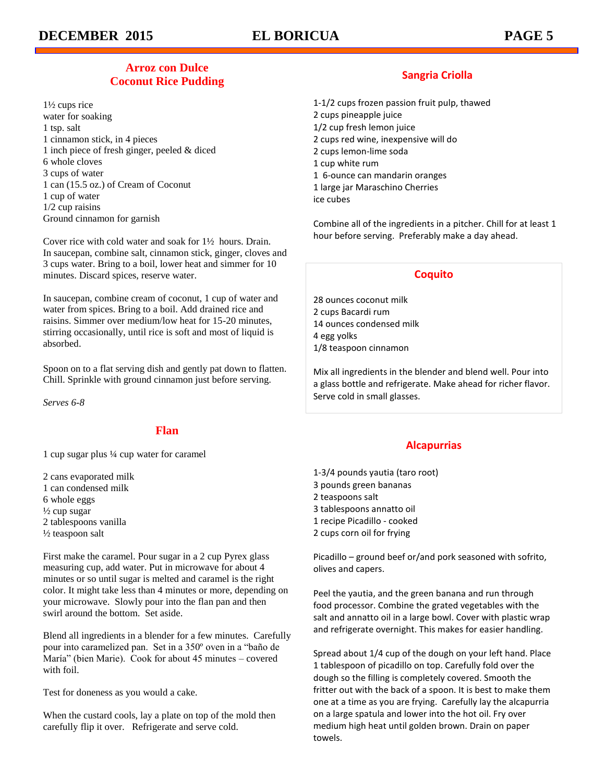# **Arroz con Dulce Coconut Rice Pudding**

1½ cups rice water for soaking 1 tsp. salt 1 cinnamon stick, in 4 pieces 1 inch piece of fresh ginger, peeled & diced 6 whole cloves 3 cups of water 1 can (15.5 oz.) of Cream of Coconut 1 cup of water 1/2 cup raisins Ground cinnamon for garnish

Cover rice with cold water and soak for 1½ hours. Drain. In saucepan, combine salt, cinnamon stick, ginger, cloves and 3 cups water. Bring to a boil, lower heat and simmer for 10 minutes. Discard spices, reserve water.

In saucepan, combine cream of coconut, 1 cup of water and water from spices. Bring to a boil. Add drained rice and raisins. Simmer over medium/low heat for 15-20 minutes, stirring occasionally, until rice is soft and most of liquid is absorbed.

Spoon on to a flat serving dish and gently pat down to flatten. Chill. Sprinkle with ground cinnamon just before serving.

*Serves 6-8*

## **Flan**

1 cup sugar plus ¼ cup water for caramel

2 cans evaporated milk 1 can condensed milk 6 whole eggs  $\frac{1}{2}$  cup sugar 2 tablespoons vanilla  $\frac{1}{2}$  teaspoon salt

First make the caramel. Pour sugar in a 2 cup Pyrex glass measuring cup, add water. Put in microwave for about 4 minutes or so until sugar is melted and caramel is the right color. It might take less than 4 minutes or more, depending on your microwave. Slowly pour into the flan pan and then swirl around the bottom. Set aside.

Blend all ingredients in a blender for a few minutes. Carefully pour into caramelized pan. Set in a 350º oven in a "baño de María" (bien Marie). Cook for about 45 minutes – covered with foil.

Test for doneness as you would a cake.

When the custard cools, lay a plate on top of the mold then carefully flip it over. Refrigerate and serve cold.

# **Sangria Criolla**

- 1-1/2 cups frozen passion fruit pulp, thawed
- 2 cups pineapple juice
- 1/2 cup fresh lemon juice
- 2 cups red wine, inexpensive will do
- 2 cups lemon-lime soda
- 1 cup white rum
- 1 6-ounce can mandarin oranges
- 1 large jar Maraschino Cherries
- ice cubes

Combine all of the ingredients in a pitcher. Chill for at least 1 hour before serving. Preferably make a day ahead.

# **Coquito**

28 ounces coconut milk 2 cups Bacardi rum 14 ounces condensed milk 4 egg yolks 1/8 teaspoon cinnamon

Mix all ingredients in the blender and blend well. Pour into a glass bottle and refrigerate. Make ahead for richer flavor. Serve cold in small glasses.

# **Alcapurrias**

- 1-3/4 pounds yautia (taro root) 3 pounds green bananas
- 
- 2 teaspoons salt
- 3 tablespoons annatto oil
- 1 recipe Picadillo cooked
- 2 cups corn oil for frying

Picadillo – ground beef or/and pork seasoned with sofrito, olives and capers.

Peel the yautia, and the green banana and run through food processor. Combine the grated vegetables with the salt and annatto oil in a large bowl. Cover with plastic wrap and refrigerate overnight. This makes for easier handling.

Spread about 1/4 cup of the dough on your left hand. Place 1 tablespoon of picadillo on top. Carefully fold over the dough so the filling is completely covered. Smooth the fritter out with the back of a spoon. It is best to make them one at a time as you are frying. Carefully lay the alcapurria on a large spatula and lower into the hot oil. Fry over medium high heat until golden brown. Drain on paper towels.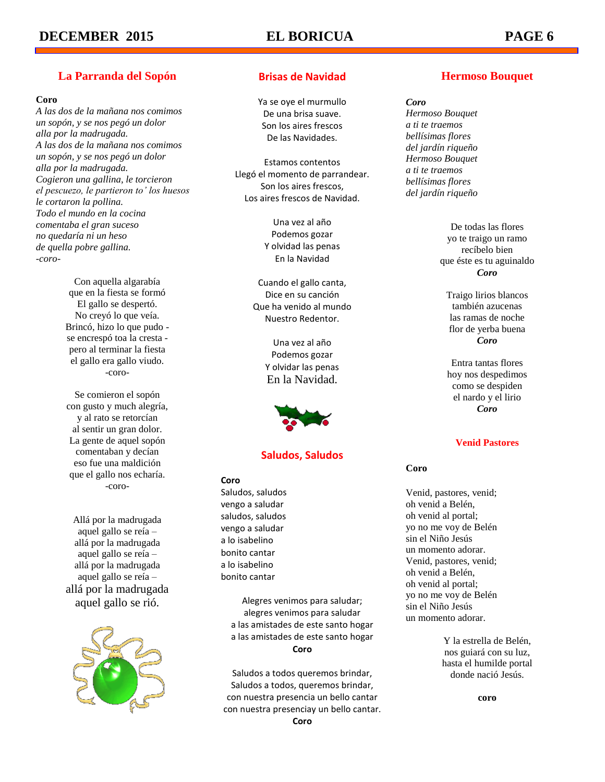# **La Parranda del Sopón**

#### **Coro**

*A las dos de la mañana nos comimos un sopón, y se nos pegó un dolor alla por la madrugada. A las dos de la mañana nos comimos un sopón, y se nos pegó un dolor alla por la madrugada. Cogieron una gallina, le torcieron el pescuezo, le partieron to' los huesos le cortaron la pollina. Todo el mundo en la cocina comentaba el gran suceso no quedaría ni un heso de quella pobre gallina. -coro-*

> Con aquella algarabía que en la fiesta se formó El gallo se despertó. No creyó lo que veía. Brincó, hizo lo que pudo se encrespó toa la cresta pero al terminar la fiesta el gallo era gallo viudo. -coro-

> Se comieron el sopón con gusto y much alegría, y al rato se retorcían al sentir un gran dolor. La gente de aquel sopón comentaban y decían eso fue una maldición que el gallo nos echaría. -coro-

Allá por la madrugada aquel gallo se reía – allá por la madrugada aquel gallo se reía – allá por la madrugada aquel gallo se reía – allá por la madrugada aquel gallo se rió.



# **Brisas de Navidad**

Ya se oye el murmullo De una brisa suave. Son los aires frescos De las Navidades.

Estamos contentos Llegó el momento de parrandear. Son los aires frescos, Los aires frescos de Navidad.

> Una vez al año Podemos gozar Y olvidad las penas En la Navidad

Cuando el gallo canta, Dice en su canción Que ha venido al mundo Nuestro Redentor.

> Una vez al año Podemos gozar Y olvidar las penas En la Navidad.



## **Saludos, Saludos**

#### **Coro**

Saludos, saludos vengo a saludar saludos, saludos vengo a saludar a lo isabelino bonito cantar a lo isabelino bonito cantar

> Alegres venimos para saludar; alegres venimos para saludar a las amistades de este santo hogar a las amistades de este santo hogar **Coro**

Saludos a todos queremos brindar, Saludos a todos, queremos brindar, con nuestra presencia un bello cantar con nuestra presenciay un bello cantar.

#### **Coro**

# **Hermoso Bouquet**

#### *Coro*

*Hermoso Bouquet a ti te traemos bellísimas flores del jardín riqueño Hermoso Bouquet a ti te traemos bellísimas flores del jardín riqueño*

> De todas las flores yo te traigo un ramo recíbelo bien que éste es tu aguinaldo *Coro*

Traigo lirios blancos también azucenas las ramas de noche flor de yerba buena *Coro*

Entra tantas flores hoy nos despedimos como se despiden el nardo y el lirio *Coro*

### **Venid Pastores**

#### **Coro**

Venid, pastores, venid; oh venid a Belén, oh venid al portal; yo no me voy de Belén sin el Niño Jesús un momento adorar. Venid, pastores, venid; oh venid a Belén, oh venid al portal; yo no me voy de Belén sin el Niño Jesús un momento adorar.

> Y la estrella de Belén, nos guiará con su luz, hasta el humilde portal donde nació Jesús.

> > **coro**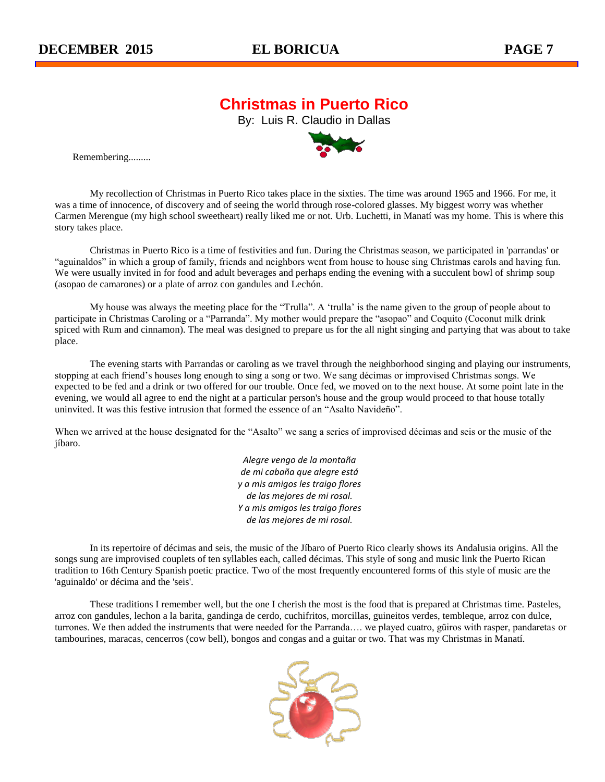# **Christmas in Puerto Rico**

By: Luis R. Claudio in Dallas



Remembering.........

My recollection of Christmas in Puerto Rico takes place in the sixties. The time was around 1965 and 1966. For me, it was a time of innocence, of discovery and of seeing the world through rose-colored glasses. My biggest worry was whether Carmen Merengue (my high school sweetheart) really liked me or not. Urb. Luchetti, in Manatí was my home. This is where this story takes place.

Christmas in Puerto Rico is a time of festivities and fun. During the Christmas season, we participated in 'parrandas' or "aguinaldos" in which a group of family, friends and neighbors went from house to house sing Christmas carols and having fun. We were usually invited in for food and adult beverages and perhaps ending the evening with a succulent bowl of shrimp soup (asopao de camarones) or a plate of arroz con gandules and Lechón.

My house was always the meeting place for the "Trulla". A 'trulla' is the name given to the group of people about to participate in Christmas Caroling or a "Parranda". My mother would prepare the "asopao" and Coquito (Coconut milk drink spiced with Rum and cinnamon). The meal was designed to prepare us for the all night singing and partying that was about to take place.

The evening starts with Parrandas or caroling as we travel through the neighborhood singing and playing our instruments, stopping at each friend's houses long enough to sing a song or two. We sang décimas or improvised Christmas songs. We expected to be fed and a drink or two offered for our trouble. Once fed, we moved on to the next house. At some point late in the evening, we would all agree to end the night at a particular person's house and the group would proceed to that house totally uninvited. It was this festive intrusion that formed the essence of an "Asalto Navideño".

When we arrived at the house designated for the "Asalto" we sang a series of improvised décimas and seis or the music of the jíbaro.

> *Alegre vengo de la montaña de mi cabaña que alegre está y a mis amigos les traigo flores de las mejores de mi rosal. Y a mis amigos les traigo flores de las mejores de mi rosal.*

In its repertoire of décimas and seis, the music of the Jíbaro of Puerto Rico clearly shows its Andalusia origins. All the songs sung are improvised couplets of ten syllables each, called décimas. This style of song and music link the Puerto Rican tradition to 16th Century Spanish poetic practice. Two of the most frequently encountered forms of this style of music are the 'aguinaldo' or décima and the 'seis'.

These traditions I remember well, but the one I cherish the most is the food that is prepared at Christmas time. Pasteles, arroz con gandules, lechon a la barita, gandinga de cerdo, cuchifritos, morcillas, guineitos verdes, tembleque, arroz con dulce, turrones. We then added the instruments that were needed for the Parranda…. we played cuatro, güiros with rasper, pandaretas or tambourines, maracas, cencerros (cow bell), bongos and congas and a guitar or two. That was my Christmas in Manatí.

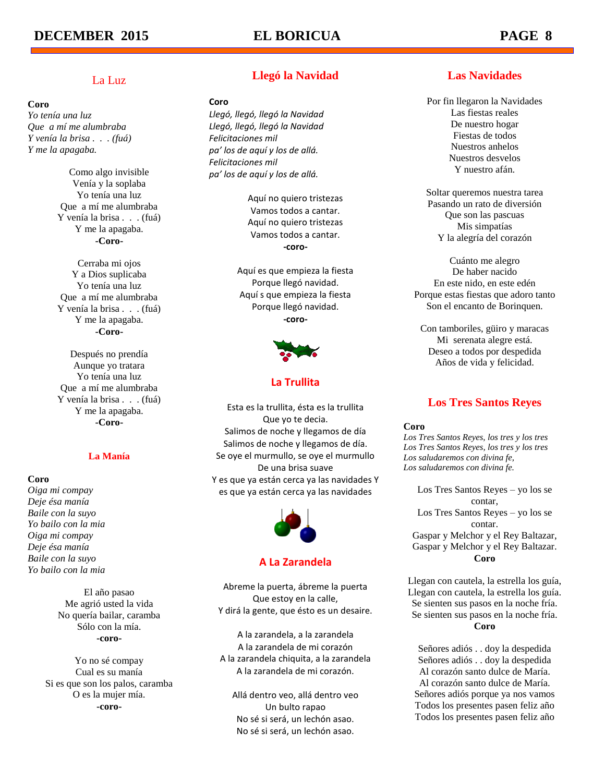# La Luz

### **Coro**

*Yo tenía una luz Que a mí me alumbraba Y venía la brisa . . . (fuá) Y me la apagaba.*

> Como algo invisible Venía y la soplaba Yo tenía una luz Que a mí me alumbraba Y venía la brisa . . . (fuá) Y me la apagaba. **-Coro-**

> Cerraba mi ojos Y a Dios suplicaba Yo tenía una luz Que a mí me alumbraba Y venía la brisa . . . (fuá) Y me la apagaba. **-Coro-**

> Después no prendía Aunque yo tratara Yo tenía una luz Que a mí me alumbraba Y venía la brisa . . . (fuá) Y me la apagaba. **-Coro-**

### **La Manía**

#### **Coro**

*Oiga mi compay Deje ésa manía Baile con la suyo Yo bailo con la mia Oiga mi compay Deje ésa manía Baile con la suyo Yo bailo con la mia*

> El año pasao Me agrió usted la vida No quería bailar, caramba Sólo con la mía. **-coro-**

Yo no sé compay Cual es su manía Si es que son los palos, caramba O es la mujer mía. **-coro-**

# **Llegó la Navidad**

#### **Coro**

*Llegó, llegó, llegó la Navidad Llegó, llegó, llegó la Navidad Felicitaciones mil pa' los de aquí y los de allá. Felicitaciones mil pa' los de aquí y los de allá.*

> Aquí no quiero tristezas Vamos todos a cantar. Aquí no quiero tristezas Vamos todos a cantar. **-coro-**

Aquí es que empieza la fiesta Porque llegó navidad. Aquí s que empieza la fiesta Porque llegó navidad. **-coro-**



## **La Trullita**

Esta es la trullita, ésta es la trullita Que yo te decia. Salimos de noche y llegamos de día Salimos de noche y llegamos de día. Se oye el murmullo, se oye el murmullo De una brisa suave Y es que ya están cerca ya las navidades Y es que ya están cerca ya las navidades



### **A La Zarandela**

Abreme la puerta, ábreme la puerta Que estoy en la calle, Y dirá la gente, que ésto es un desaire.

A la zarandela, a la zarandela A la zarandela de mi corazón A la zarandela chiquita, a la zarandela A la zarandela de mi corazón.

Allá dentro veo, allá dentro veo Un bulto rapao No sé si será, un lechón asao. No sé si será, un lechón asao.

# **Las Navidades**

Por fin llegaron la Navidades Las fiestas reales De nuestro hogar Fiestas de todos Nuestros anhelos Nuestros desvelos Y nuestro afán.

Soltar queremos nuestra tarea Pasando un rato de diversión Que son las pascuas Mis simpatías Y la alegría del corazón

Cuánto me alegro De haber nacido En este nido, en este edén Porque estas fiestas que adoro tanto Son el encanto de Borinquen.

Con tamboriles, güiro y maracas Mi serenata alegre está. Deseo a todos por despedida Años de vida y felicidad.

# **Los Tres Santos Reyes**

**Coro**

*Los Tres Santos Reyes, los tres y los tres Los Tres Santos Reyes, los tres y los tres Los saludaremos con divina fe, Los saludaremos con divina fe.*

Los Tres Santos Reyes – yo los se contar, Los Tres Santos Reyes – yo los se contar. Gaspar y Melchor y el Rey Baltazar, Gaspar y Melchor y el Rey Baltazar. **Coro**

Llegan con cautela, la estrella los guía, Llegan con cautela, la estrella los guía. Se sienten sus pasos en la noche fría. Se sienten sus pasos en la noche fría. **Coro**

Señores adiós . . doy la despedida Señores adiós . . doy la despedida Al corazón santo dulce de María. Al corazón santo dulce de María. Señores adiós porque ya nos vamos Todos los presentes pasen feliz año Todos los presentes pasen feliz año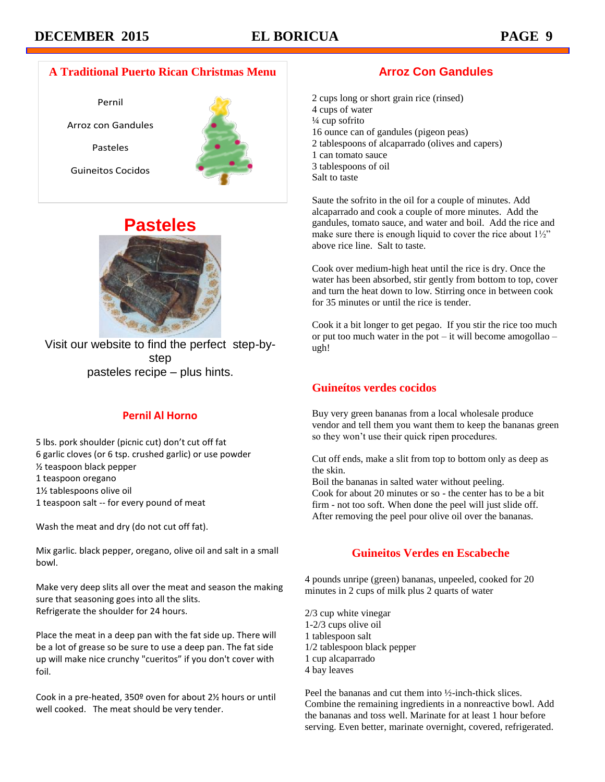# **A Traditional Puerto Rican Christmas Menu**

Pernil Arroz con Gandules Pasteles Guineitos Cocidos





Visit our website to find the perfect step-bystep pasteles recipe – plus hints.

# **Pernil Al Horno**

5 lbs. pork shoulder (picnic cut) don't cut off fat 6 garlic cloves (or 6 tsp. crushed garlic) or use powder ½ teaspoon black pepper 1 teaspoon oregano 1½ tablespoons olive oil 1 teaspoon salt -- for every pound of meat

Wash the meat and dry (do not cut off fat).

Mix garlic. black pepper, oregano, olive oil and salt in a small bowl.

Make very deep slits all over the meat and season the making sure that seasoning goes into all the slits. Refrigerate the shoulder for 24 hours.

Place the meat in a deep pan with the fat side up. There will be a lot of grease so be sure to use a deep pan. The fat side up will make nice crunchy "cueritos" if you don't cover with foil.

Cook in a pre-heated, 350º oven for about 2½ hours or until well cooked. The meat should be very tender.

# **Arroz Con Gandules**

2 cups long or short grain rice (rinsed) 4 cups of water ¼ cup sofrito 16 ounce can of gandules (pigeon peas) 2 tablespoons of alcaparrado (olives and capers) 1 can tomato sauce 3 tablespoons of oil Salt to taste

Saute the sofrito in the oil for a couple of minutes. Add alcaparrado and cook a couple of more minutes. Add the gandules, tomato sauce, and water and boil. Add the rice and make sure there is enough liquid to cover the rice about  $1\frac{1}{2}$ " above rice line. Salt to taste.

Cook over medium-high heat until the rice is dry. Once the water has been absorbed, stir gently from bottom to top, cover and turn the heat down to low. Stirring once in between cook for 35 minutes or until the rice is tender.

Cook it a bit longer to get pegao. If you stir the rice too much or put too much water in the pot – it will become amogollao – ugh!

# **Guineítos verdes cocidos**

Buy very green bananas from a local wholesale produce vendor and tell them you want them to keep the bananas green so they won't use their quick ripen procedures.

Cut off ends, make a slit from top to bottom only as deep as the skin.

Boil the bananas in salted water without peeling. Cook for about 20 minutes or so - the center has to be a bit firm - not too soft. When done the peel will just slide off. After removing the peel pour olive oil over the bananas.

# **Guineitos Verdes en Escabeche**

4 pounds unripe (green) bananas, unpeeled, cooked for 20 minutes in 2 cups of milk plus 2 quarts of water

2/3 cup white vinegar 1-2/3 cups olive oil 1 tablespoon salt 1/2 tablespoon black pepper 1 cup alcaparrado 4 bay leaves

Peel the bananas and cut them into ½-inch-thick slices. Combine the remaining ingredients in a nonreactive bowl. Add the bananas and toss well. Marinate for at least 1 hour before serving. Even better, marinate overnight, covered, refrigerated.